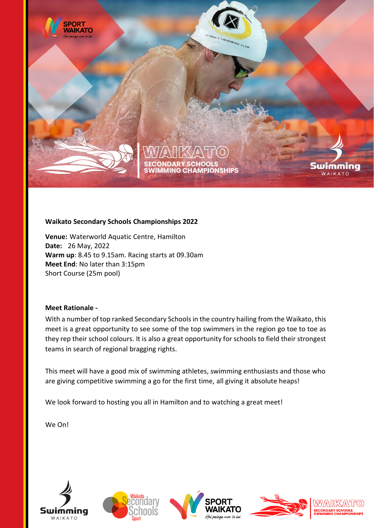

# **Waikato Secondary Schools Championships 2022**

**Venue:** Waterworld Aquatic Centre, Hamilton **Date:** 26 May, 2022 **Warm up**: 8.45 to 9.15am. Racing starts at 09.30am **Meet End**: No later than 3:15pm Short Course (25m pool)

# **Meet Rationale -**

With a number of top ranked Secondary Schools in the country hailing from the Waikato, this meet is a great opportunity to see some of the top swimmers in the region go toe to toe as they rep their school colours. It is also a great opportunity for schools to field their strongest teams in search of regional bragging rights.

This meet will have a good mix of swimming athletes, swimming enthusiasts and those who are giving competitive swimming a go for the first time, all giving it absolute heaps!

We look forward to hosting you all in Hamilton and to watching a great meet!

We On!









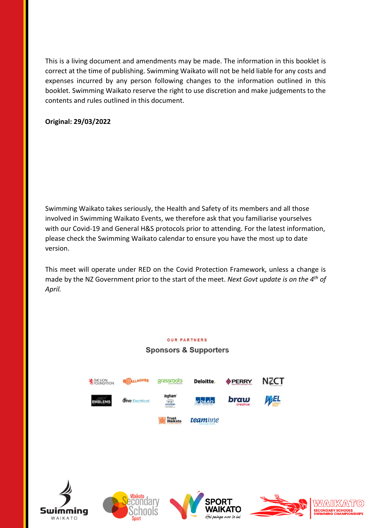This is a living document and amendments may be made. The information in this booklet is correct at the time of publishing. Swimming Waikato will not be held liable for any costs and expenses incurred by any person following changes to the information outlined in this booklet. Swimming Waikato reserve the right to use discretion and make judgements to the contents and rules outlined in this document.

# **Original: 29/03/2022**

Swimming Waikato takes seriously, the Health and Safety of its members and all those involved in Swimming Waikato Events, we therefore ask that you familiarise yourselves with our Covid-19 and General H&S protocols prior to attending. For the latest information, please check the Swimming Waikato calendar to ensure you have the most up to date version.

This meet will operate under RED on the Covid Protection Framework, unless a change is made by the NZ Government prior to the start of the meet. *Next Govt update is on the 4th of April.*

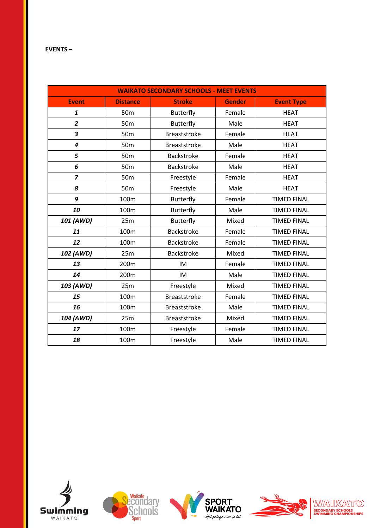#### **EVENTS –**

| <b>WAIKATO SECONDARY SCHOOLS - MEET EVENTS</b> |                  |                     |               |                    |  |
|------------------------------------------------|------------------|---------------------|---------------|--------------------|--|
| <b>Event</b>                                   | <b>Distance</b>  | <b>Stroke</b>       | <b>Gender</b> | <b>Event Type</b>  |  |
| $\mathbf{1}$                                   | 50 <sub>m</sub>  | <b>Butterfly</b>    | Female        | <b>HEAT</b>        |  |
| $\overline{2}$                                 | 50 <sub>m</sub>  | <b>Butterfly</b>    | Male          | <b>HEAT</b>        |  |
| 3                                              | 50 <sub>m</sub>  | <b>Breaststroke</b> | Female        | <b>HEAT</b>        |  |
| $\overline{4}$                                 | 50 <sub>m</sub>  | <b>Breaststroke</b> | Male          | <b>HEAT</b>        |  |
| 5                                              | 50 <sub>m</sub>  | Backstroke          | Female        | <b>HEAT</b>        |  |
| 6                                              | 50 <sub>m</sub>  | <b>Backstroke</b>   | Male          | <b>HEAT</b>        |  |
| $\overline{z}$                                 | 50 <sub>m</sub>  | Freestyle           | Female        | <b>HEAT</b>        |  |
| 8                                              | 50 <sub>m</sub>  | Freestyle           | Male          | <b>HEAT</b>        |  |
| 9                                              | 100m             | <b>Butterfly</b>    | Female        | <b>TIMED FINAL</b> |  |
| 10                                             | 100m             | <b>Butterfly</b>    | Male          | <b>TIMED FINAL</b> |  |
| 101 (AWD)                                      | 25m              | <b>Butterfly</b>    | Mixed         | <b>TIMED FINAL</b> |  |
| 11                                             | 100m             | Backstroke          | Female        | <b>TIMED FINAL</b> |  |
| 12                                             | 100 <sub>m</sub> | <b>Backstroke</b>   | Female        | <b>TIMED FINAL</b> |  |
| 102 (AWD)                                      | 25m              | <b>Backstroke</b>   | Mixed         | <b>TIMED FINAL</b> |  |
| 13                                             | 200m             | IM                  | Female        | <b>TIMED FINAL</b> |  |
| 14                                             | 200m             | IM                  | Male          | <b>TIMED FINAL</b> |  |
| 103 (AWD)                                      | 25m              | Freestyle           | Mixed         | <b>TIMED FINAL</b> |  |
| 15                                             | 100m             | <b>Breaststroke</b> | Female        | <b>TIMED FINAL</b> |  |
| 16                                             | 100m             | <b>Breaststroke</b> | Male          | <b>TIMED FINAL</b> |  |
| 104 (AWD)                                      | 25m              | <b>Breaststroke</b> | Mixed         | <b>TIMED FINAL</b> |  |
| 17                                             | 100m             | Freestyle           | Female        | <b>TIMED FINAL</b> |  |
| 18                                             | 100m             | Freestyle           | Male          | <b>TIMED FINAL</b> |  |









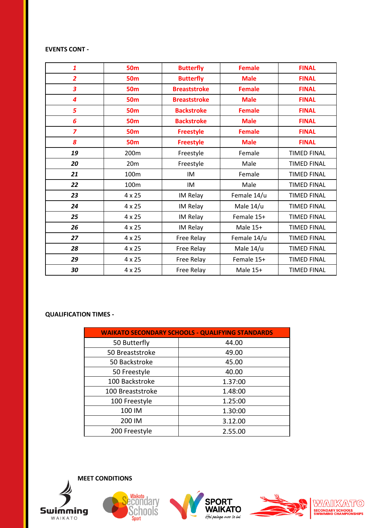#### **EVENTS CONT -**

| 1              | <b>50m</b>       | <b>Butterfly</b>    | <b>Female</b> | <b>FINAL</b>       |
|----------------|------------------|---------------------|---------------|--------------------|
| $\overline{2}$ | <b>50m</b>       | <b>Butterfly</b>    | <b>Male</b>   | <b>FINAL</b>       |
| 3              | <b>50m</b>       | <b>Breaststroke</b> | <b>Female</b> | <b>FINAL</b>       |
| 4              | <b>50m</b>       | <b>Breaststroke</b> | <b>Male</b>   | <b>FINAL</b>       |
| 5              | <b>50m</b>       | <b>Backstroke</b>   | <b>Female</b> | <b>FINAL</b>       |
| 6              | <b>50m</b>       | <b>Backstroke</b>   | <b>Male</b>   | <b>FINAL</b>       |
| $\overline{z}$ | <b>50m</b>       | <b>Freestyle</b>    | <b>Female</b> | <b>FINAL</b>       |
| 8              | <b>50m</b>       | <b>Freestyle</b>    | <b>Male</b>   | <b>FINAL</b>       |
| 19             | 200 <sub>m</sub> | Freestyle           | Female        | <b>TIMED FINAL</b> |
| 20             | 20 <sub>m</sub>  | Freestyle           | Male          | <b>TIMED FINAL</b> |
| 21             | 100m             | IM                  | Female        | <b>TIMED FINAL</b> |
| 22             | 100m             | IM                  | Male          | <b>TIMED FINAL</b> |
| 23             | 4 x 25           | IM Relay            | Female 14/u   | <b>TIMED FINAL</b> |
| 24             | $4 \times 25$    | IM Relay            | Male 14/u     | <b>TIMED FINAL</b> |
| 25             | 4 x 25           | IM Relay            | Female 15+    | <b>TIMED FINAL</b> |
| 26             | $4 \times 25$    | IM Relay            | Male 15+      | <b>TIMED FINAL</b> |
| 27             | $4 \times 25$    | Free Relay          | Female 14/u   | <b>TIMED FINAL</b> |
| 28             | $4 \times 25$    | Free Relay          | Male 14/u     | <b>TIMED FINAL</b> |
| 29             | $4 \times 25$    | Free Relay          | Female 15+    | <b>TIMED FINAL</b> |
| 30             | $4 \times 25$    | Free Relay          | Male 15+      | <b>TIMED FINAL</b> |

# **QUALIFICATION TIMES -**

| <b>WAIKATO SECONDARY SCHOOLS - QUALIFYING STANDARDS</b> |         |  |  |  |
|---------------------------------------------------------|---------|--|--|--|
| 50 Butterfly                                            | 44.00   |  |  |  |
| 50 Breaststroke                                         | 49.00   |  |  |  |
| 50 Backstroke                                           | 45.00   |  |  |  |
| 50 Freestyle                                            | 40.00   |  |  |  |
| 100 Backstroke                                          | 1.37:00 |  |  |  |
| 100 Breaststroke                                        | 1.48:00 |  |  |  |
| 100 Freestyle                                           | 1.25:00 |  |  |  |
| 100 IM                                                  | 1.30:00 |  |  |  |
| 200 IM                                                  | 3.12.00 |  |  |  |
| 200 Freestyle                                           | 2.55.00 |  |  |  |

**MEET CONDITIONS**









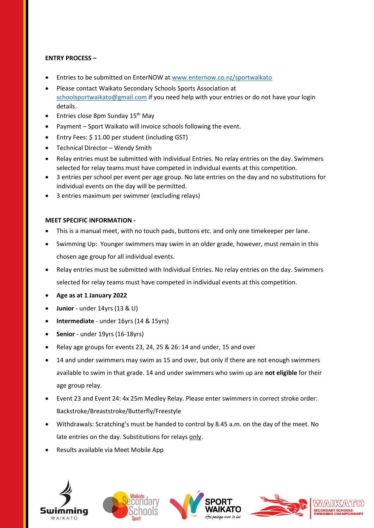# **ENTRY PROCESS –**

- Entries to be submitted on EnterNOW at<www.enternow.co.nz/sportwaikato>
- Please contact Waikato Secondary Schools Sports Association at [schoolsportwaikato@gmail.com](mailto:schoolsportwaikato@gmail.com) if you need help with your entries or do not have your login details.
- Entries close 8pm Sunday  $15<sup>th</sup>$  May
- Payment Sport Waikato will invoice schools following the event.
- Entry Fees: \$ 11.00 per student (including GST)
- Technical Director Wendy Smith
- Relay entries must be submitted with Individual Entries. No relay entries on the day. Swimmers selected for relay teams must have competed in individual events at this competition.
- 3 entries per school per event per age group. No late entries on the day and no substitutions for individual events on the day will be permitted.
- 3 entries maximum per swimmer (excluding relays)

#### **MEET SPECIFIC INFORMATION -**

- This is a manual meet, with no touch pads, buttons etc. and only one timekeeper per lane.
- Swimming Up: Younger swimmers may swim in an older grade, however, must remain in this chosen age group for all individual events.
- Relay entries must be submitted with Individual Entries. No relay entries on the day. Swimmers selected for relay teams must have competed in individual events at this competition.
- **Age as at 1 January 2022**
- **Junior** under 14yrs (13 & U)
- **Intermediate** under 16yrs (14 & 15yrs)
- **Senior** under 19yrs (16-18yrs)
- Relay age groups for events 23, 24, 25 & 26: 14 and under, 15 and over
- 14 and under swimmers may swim as 15 and over, but only if there are not enough swimmers available to swim in that grade. 14 and under swimmers who swim up are **not eligible** for their age group relay.
- Event 23 and Event 24: 4x 25m Medley Relay. Please enter swimmers in correct stroke order: Backstroke/Breaststroke/Butterfly/Freestyle
- Withdrawals: Scratching's must be handed to control by 8.45 a.m. on the day of the meet. No late entries on the day. Substitutions for relays only.
- Results available via Meet Mobile App







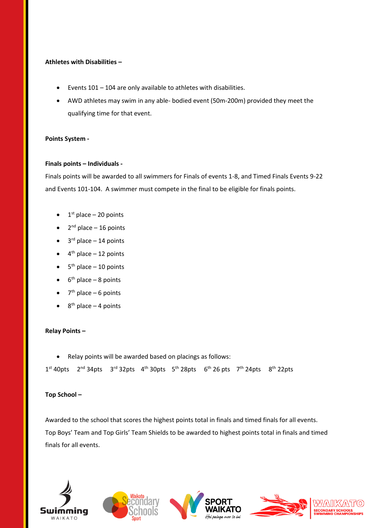#### **Athletes with Disabilities –**

- Events 101 104 are only available to athletes with disabilities.
- AWD athletes may swim in any able- bodied event (50m-200m) provided they meet the qualifying time for that event.

#### **Points System -**

#### **Finals points – Individuals -**

Finals points will be awarded to all swimmers for Finals of events 1-8, and Timed Finals Events 9-22 and Events 101-104. A swimmer must compete in the final to be eligible for finals points.

- $\bullet$  1<sup>st</sup> place 20 points
- $\bullet$  2<sup>nd</sup> place 16 points
- $\bullet$  3<sup>rd</sup> place  $-$  14 points
- $\bullet$  4<sup>th</sup> place  $-12$  points
- $\bullet$  5<sup>th</sup> place  $-10$  points
- $\bullet$  6<sup>th</sup> place 8 points
- $\bullet$  7<sup>th</sup> place 6 points
- $\bullet$  8<sup>th</sup> place 4 points

#### **Relay Points –**

• Relay points will be awarded based on placings as follows:

 $1^{st}$  40pts  $2^{nd}$  34pts  $3^{rd}$  32pts  $4^{th}$  30pts  $5^{th}$  28pts  $6^{th}$  26 pts  $7^{th}$  24pts  $8^{th}$  22pts

#### **Top School –**

Awarded to the school that scores the highest points total in finals and timed finals for all events. Top Boys' Team and Top Girls' Team Shields to be awarded to highest points total in finals and timed finals for all events.









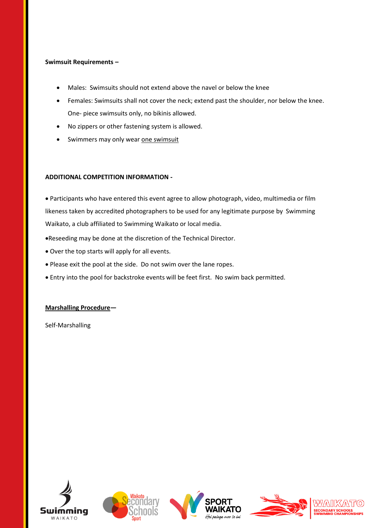## **Swimsuit Requirements –**

- Males: Swimsuits should not extend above the navel or below the knee
- Females: Swimsuits shall not cover the neck; extend past the shoulder, nor below the knee. One- piece swimsuits only, no bikinis allowed.
- No zippers or other fastening system is allowed.
- Swimmers may only wear one swimsuit

# **ADDITIONAL COMPETITION INFORMATION -**

• Participants who have entered this event agree to allow photograph, video, multimedia or film likeness taken by accredited photographers to be used for any legitimate purpose by Swimming Waikato, a club affiliated to Swimming Waikato or local media.

- •Reseeding may be done at the discretion of the Technical Director.
- Over the top starts will apply for all events.
- Please exit the pool at the side. Do not swim over the lane ropes.
- Entry into the pool for backstroke events will be feet first. No swim back permitted.

#### **Marshalling Procedure—**

Self-Marshalling









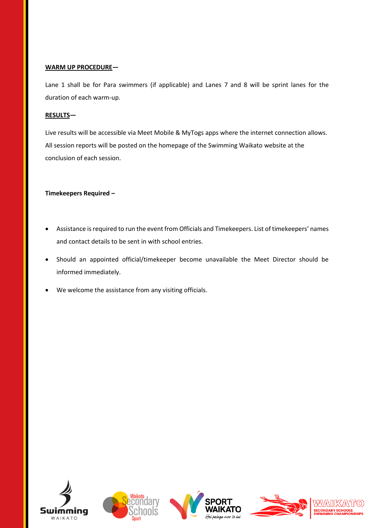#### **WARM UP PROCEDURE—**

Lane 1 shall be for Para swimmers (if applicable) and Lanes 7 and 8 will be sprint lanes for the duration of each warm-up.

# **RESULTS—**

Live results will be accessible via Meet Mobile & MyTogs apps where the internet connection allows. All session reports will be posted on the homepage of the Swimming Waikato website at the conclusion of each session.

# **Timekeepers Required –**

- Assistance is required to run the event from Officials and Timekeepers. List of timekeepers' names and contact details to be sent in with school entries.
- Should an appointed official/timekeeper become unavailable the Meet Director should be informed immediately.
- We welcome the assistance from any visiting officials.









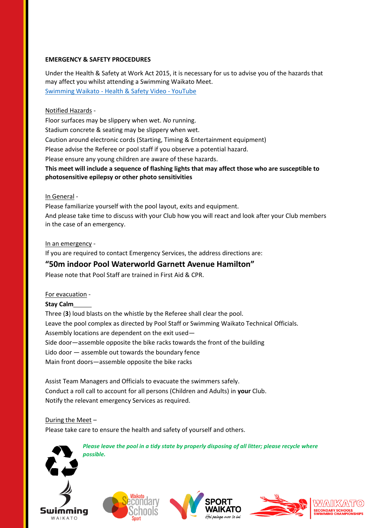# **EMERGENCY & SAFETY PROCEDURES**

Under the Health & Safety at Work Act 2015, it is necessary for us to advise you of the hazards that may affect you whilst attending a Swimming Waikato Meet. Swimming Waikato - [Health & Safety Video -](https://www.youtube.com/watch?v=HYMDlJLKDm4) YouTube

## Notified Hazards -

Floor surfaces may be slippery when wet. *No* running. Stadium concrete & seating may be slippery when wet. Caution around electronic cords (Starting, Timing & Entertainment equipment) Please advise the Referee or pool staff if you observe a potential hazard. Please ensure any young children are aware of these hazards. **This meet will include a sequence of flashing lights that may affect those who are susceptible to** 

# **photosensitive epilepsy or other photo sensitivities**

#### In General -

Please familiarize yourself with the pool layout, exits and equipment. And please take time to discuss with your Club how you will react and look after your Club members in the case of an emergency.

In an emergency -

If you are required to contact Emergency Services, the address directions are:

# **"50m indoor Pool Waterworld Garnett Avenue Hamilton"**

Please note that Pool Staff are trained in First Aid & CPR.

#### For evacuation -

#### **Stay Calm**

Three (**3**) loud blasts on the whistle by the Referee shall clear the pool. Leave the pool complex as directed by Pool Staff or Swimming Waikato Technical Officials. Assembly locations are dependent on the exit used— Side door—assemble opposite the bike racks towards the front of the building Lido door — assemble out towards the boundary fence Main front doors—assemble opposite the bike racks

Assist Team Managers and Officials to evacuate the swimmers safely. Conduct a roll call to account for all persons (Children and Adults) in **your** Club. Notify the relevant emergency Services as required.

#### During the Meet –

Please take care to ensure the health and safety of yourself and others.



*Please leave the pool in a tidy state by properly disposing of all litter; please recycle where possible.*